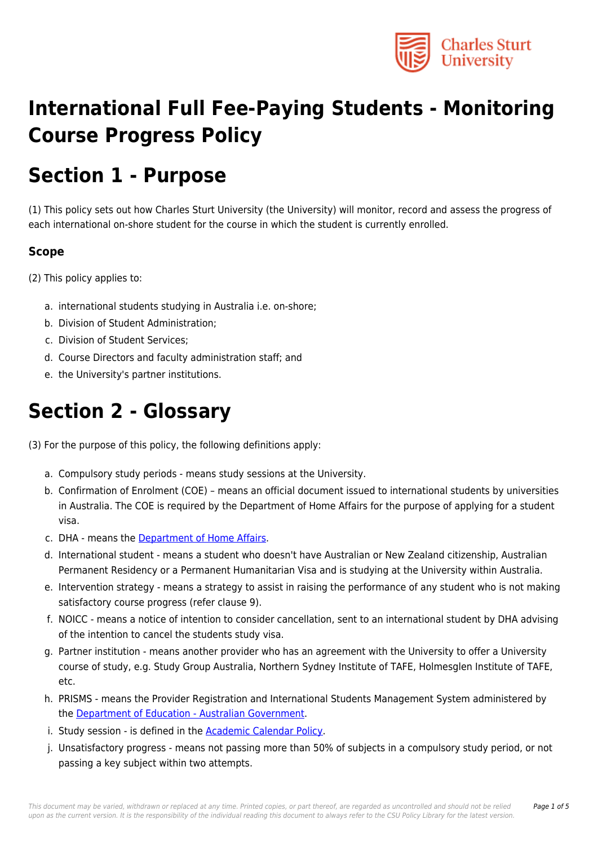

# **International Full Fee-Paying Students - Monitoring Course Progress Policy**

# **Section 1 - Purpose**

(1) This policy sets out how Charles Sturt University (the University) will monitor, record and assess the progress of each international on-shore student for the course in which the student is currently enrolled.

#### **Scope**

(2) This policy applies to:

- a. international students studying in Australia i.e. on-shore;
- b. Division of Student Administration;
- c. Division of Student Services;
- d. Course Directors and faculty administration staff; and
- e. the University's partner institutions.

### **Section 2 - Glossary**

(3) For the purpose of this policy, the following definitions apply:

- a. Compulsory study periods means study sessions at the University.
- b. Confirmation of Enrolment (COE) means an official document issued to international students by universities in Australia. The COE is required by the Department of Home Affairs for the purpose of applying for a student visa.
- c. DHA means the [Department of Home Affairs.](https://policy.csu.edu.au/download.php?id=575&version=1&associated)
- d. International student means a student who doesn't have Australian or New Zealand citizenship, Australian Permanent Residency or a Permanent Humanitarian Visa and is studying at the University within Australia.
- e. Intervention strategy means a strategy to assist in raising the performance of any student who is not making satisfactory course progress (refer clause 9).
- f. NOICC means a notice of intention to consider cancellation, sent to an international student by DHA advising of the intention to cancel the students study visa.
- g. Partner institution means another provider who has an agreement with the University to offer a University course of study, e.g. Study Group Australia, Northern Sydney Institute of TAFE, Holmesglen Institute of TAFE, etc.
- h. PRISMS means the Provider Registration and International Students Management System administered by the [Department of Education - Australian Government](https://policy.csu.edu.au/download.php?id=202&version=1&associated).
- i. Study session is defined in the **[Academic Calendar Policy](https://policy.csu.edu.au/document/view-current.php?id=249)**.
- j. Unsatisfactory progress means not passing more than 50% of subjects in a compulsory study period, or not passing a key subject within two attempts.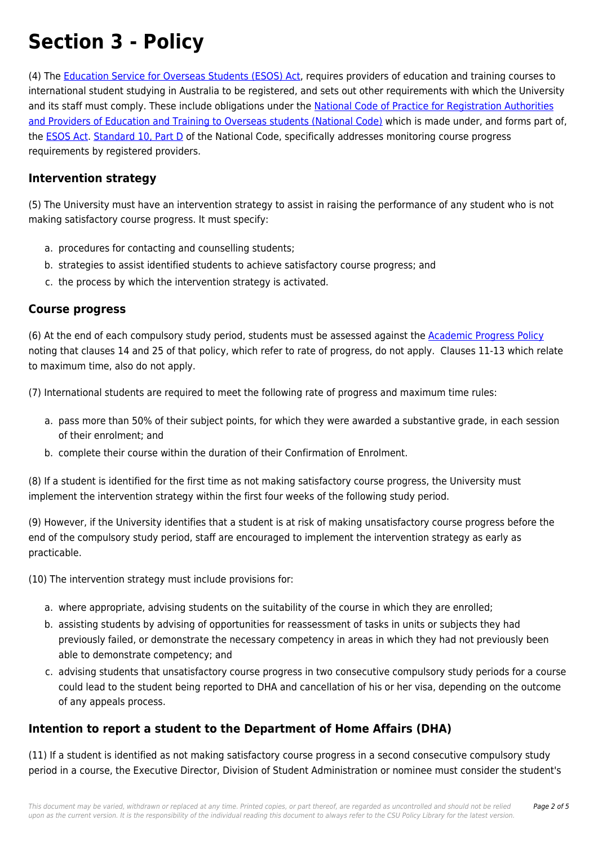# **Section 3 - Policy**

(4) The [Education Service for Overseas Students \(ESOS\) Act](https://policy.csu.edu.au/directory-summary.php?legislation=12), requires providers of education and training courses to international student studying in Australia to be registered, and sets out other requirements with which the University and its staff must comply. These include obligations under the [National Code of Practice for Registration Authorities](https://policy.csu.edu.au/directory-summary.php?code=1) [and Providers of Education and Training to Overseas students \(National Code\)](https://policy.csu.edu.au/directory-summary.php?code=1) which is made under, and forms part of, the **[ESOS Act.](https://policy.csu.edu.au/directory-summary.php?legislation=12) [Standard 10, Part D](https://policy.csu.edu.au/directory-summary.php?legislation=33)** of the National Code, specifically addresses monitoring course progress requirements by registered providers.

#### **Intervention strategy**

(5) The University must have an intervention strategy to assist in raising the performance of any student who is not making satisfactory course progress. It must specify:

- a. procedures for contacting and counselling students;
- b. strategies to assist identified students to achieve satisfactory course progress; and
- c. the process by which the intervention strategy is activated.

#### **Course progress**

(6) At the end of each compulsory study period, students must be assessed against the [Academic Progress Policy](https://policy.csu.edu.au/document/view-current.php?id=250) noting that clauses 14 and 25 of that policy, which refer to rate of progress, do not apply. Clauses 11-13 which relate to maximum time, also do not apply.

(7) International students are required to meet the following rate of progress and maximum time rules:

- a. pass more than 50% of their subject points, for which they were awarded a substantive grade, in each session of their enrolment; and
- b. complete their course within the duration of their Confirmation of Enrolment.

(8) If a student is identified for the first time as not making satisfactory course progress, the University must implement the intervention strategy within the first four weeks of the following study period.

(9) However, if the University identifies that a student is at risk of making unsatisfactory course progress before the end of the compulsory study period, staff are encouraged to implement the intervention strategy as early as practicable.

(10) The intervention strategy must include provisions for:

- a. where appropriate, advising students on the suitability of the course in which they are enrolled;
- b. assisting students by advising of opportunities for reassessment of tasks in units or subjects they had previously failed, or demonstrate the necessary competency in areas in which they had not previously been able to demonstrate competency; and
- c. advising students that unsatisfactory course progress in two consecutive compulsory study periods for a course could lead to the student being reported to DHA and cancellation of his or her visa, depending on the outcome of any appeals process.

#### **Intention to report a student to the Department of Home Affairs (DHA)**

(11) If a student is identified as not making satisfactory course progress in a second consecutive compulsory study period in a course, the Executive Director, Division of Student Administration or nominee must consider the student's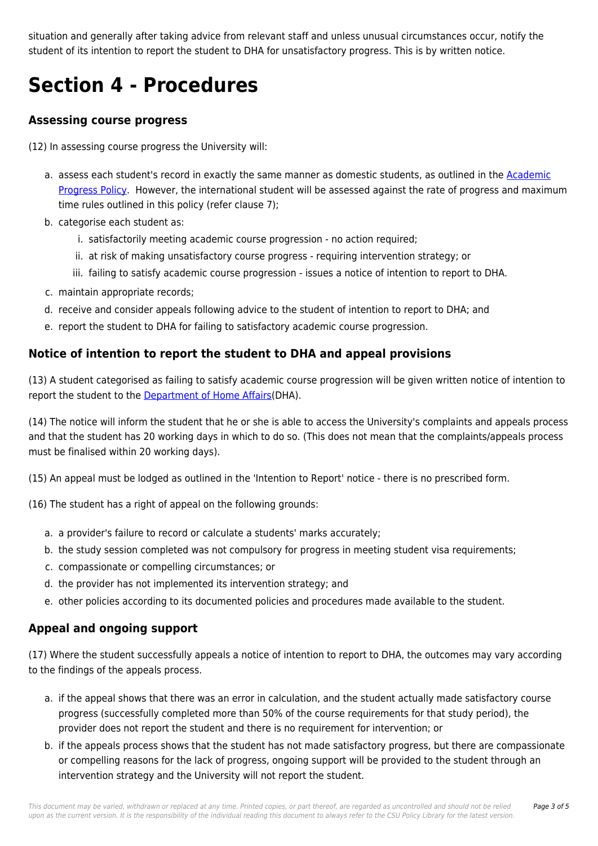situation and generally after taking advice from relevant staff and unless unusual circumstances occur, notify the student of its intention to report the student to DHA for unsatisfactory progress. This is by written notice.

# **Section 4 - Procedures**

#### **Assessing course progress**

(12) In assessing course progress the University will:

- a. assess each student's record in exactly the same manner as domestic students, as outlined in the [Academic](https://policy.csu.edu.au/document/view-current.php?id=250) [Progress Policy](https://policy.csu.edu.au/document/view-current.php?id=250). However, the international student will be assessed against the rate of progress and maximum time rules outlined in this policy (refer clause 7);
- b. categorise each student as:
	- i. satisfactorily meeting academic course progression no action required;
	- ii. at risk of making unsatisfactory course progress requiring intervention strategy; or
	- iii. failing to satisfy academic course progression issues a notice of intention to report to DHA.
- c. maintain appropriate records;
- d. receive and consider appeals following advice to the student of intention to report to DHA; and
- e. report the student to DHA for failing to satisfactory academic course progression.

#### **Notice of intention to report the student to DHA and appeal provisions**

(13) A student categorised as failing to satisfy academic course progression will be given written notice of intention to report the student to the [Department of Home Affairs](https://policy.csu.edu.au/download.php?id=575&version=1&associated)(DHA).

(14) The notice will inform the student that he or she is able to access the University's complaints and appeals process and that the student has 20 working days in which to do so. (This does not mean that the complaints/appeals process must be finalised within 20 working days).

(15) An appeal must be lodged as outlined in the 'Intention to Report' notice - there is no prescribed form.

(16) The student has a right of appeal on the following grounds:

- a. a provider's failure to record or calculate a students' marks accurately;
- b. the study session completed was not compulsory for progress in meeting student visa requirements;
- c. compassionate or compelling circumstances; or
- d. the provider has not implemented its intervention strategy; and
- e. other policies according to its documented policies and procedures made available to the student.

#### **Appeal and ongoing support**

(17) Where the student successfully appeals a notice of intention to report to DHA, the outcomes may vary according to the findings of the appeals process.

- a. if the appeal shows that there was an error in calculation, and the student actually made satisfactory course progress (successfully completed more than 50% of the course requirements for that study period), the provider does not report the student and there is no requirement for intervention; or
- b. if the appeals process shows that the student has not made satisfactory progress, but there are compassionate or compelling reasons for the lack of progress, ongoing support will be provided to the student through an intervention strategy and the University will not report the student.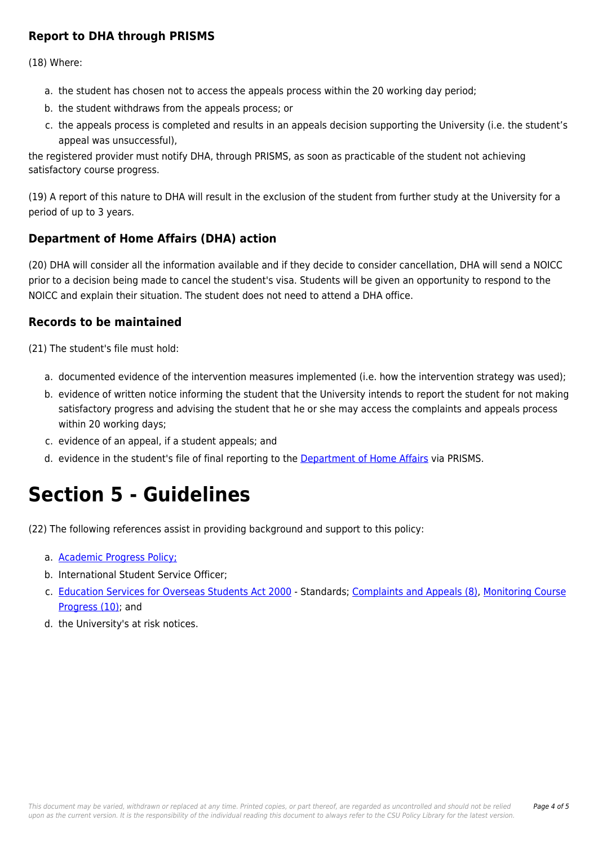#### **Report to DHA through PRISMS**

(18) Where:

- a. the student has chosen not to access the appeals process within the 20 working day period;
- b. the student withdraws from the appeals process; or
- c. the appeals process is completed and results in an appeals decision supporting the University (i.e. the student's appeal was unsuccessful),

the registered provider must notify DHA, through PRISMS, as soon as practicable of the student not achieving satisfactory course progress.

(19) A report of this nature to DHA will result in the exclusion of the student from further study at the University for a period of up to 3 years.

#### **Department of Home Affairs (DHA) action**

(20) DHA will consider all the information available and if they decide to consider cancellation, DHA will send a NOICC prior to a decision being made to cancel the student's visa. Students will be given an opportunity to respond to the NOICC and explain their situation. The student does not need to attend a DHA office.

#### **Records to be maintained**

(21) The student's file must hold:

- a. documented evidence of the intervention measures implemented (i.e. how the intervention strategy was used);
- b. evidence of written notice informing the student that the University intends to report the student for not making satisfactory progress and advising the student that he or she may access the complaints and appeals process within 20 working days;
- c. evidence of an appeal, if a student appeals; and
- d. evidence in the student's file of final reporting to the [Department of Home Affairs](https://policy.csu.edu.au/download.php?id=575&version=1&associated) via PRISMS.

# **Section 5 - Guidelines**

(22) The following references assist in providing background and support to this policy:

- a. [Academic Progress Policy;](https://policy.csu.edu.au/document/view-current.php?id=250)
- b. International Student Service Officer;
- c. [Education Services for Overseas Students Act 2000](https://policy.csu.edu.au/directory-summary.php?legislation=12) Standards; [Complaints and Appeals \(8\),](https://policy.csu.edu.au/directory-summary.php?legislation=39) [Monitoring Course](https://policy.csu.edu.au/directory-summary.php?legislation=33) [Progress \(10\);](https://policy.csu.edu.au/directory-summary.php?legislation=33) and
- d. the University's at risk notices.